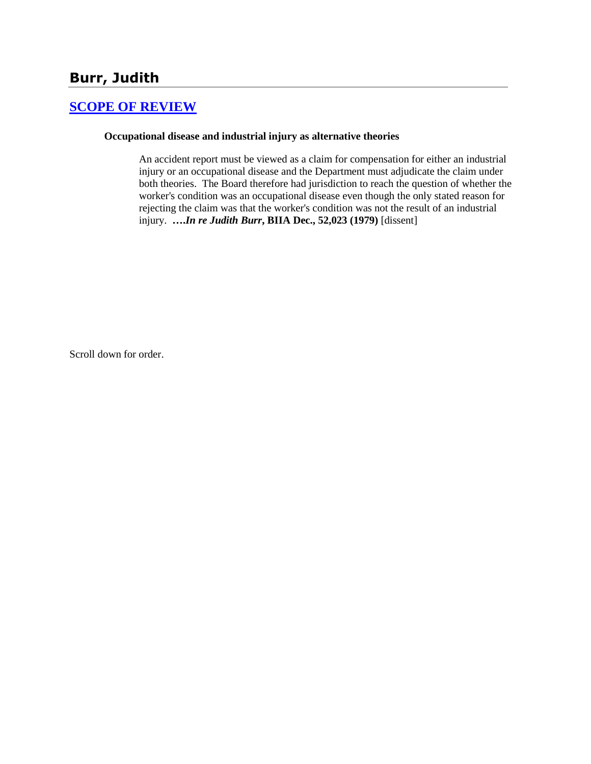# **Burr, Judith**

# **[SCOPE OF REVIEW](http://www.biia.wa.gov/SDSubjectIndex.html#SCOPE_OF_REVIEW)**

#### **Occupational disease and industrial injury as alternative theories**

An accident report must be viewed as a claim for compensation for either an industrial injury or an occupational disease and the Department must adjudicate the claim under both theories. The Board therefore had jurisdiction to reach the question of whether the worker's condition was an occupational disease even though the only stated reason for rejecting the claim was that the worker's condition was not the result of an industrial injury. **….***In re Judith Burr***, BIIA Dec., 52,023 (1979)** [dissent]

Scroll down for order.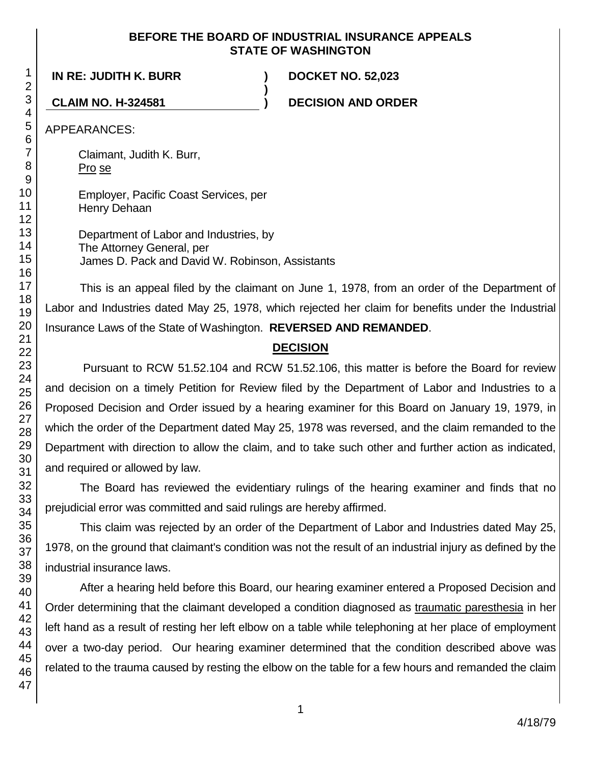#### **BEFORE THE BOARD OF INDUSTRIAL INSURANCE APPEALS STATE OF WASHINGTON**

**)**

**IN RE: JUDITH K. BURR ) DOCKET NO. 52,023**

**CLAIM NO. H-324581 ) DECISION AND ORDER**

APPEARANCES:

Claimant, Judith K. Burr, Pro se

Employer, Pacific Coast Services, per Henry Dehaan

Department of Labor and Industries, by The Attorney General, per James D. Pack and David W. Robinson, Assistants

This is an appeal filed by the claimant on June 1, 1978, from an order of the Department of Labor and Industries dated May 25, 1978, which rejected her claim for benefits under the Industrial Insurance Laws of the State of Washington. **REVERSED AND REMANDED**.

# **DECISION**

Pursuant to RCW 51.52.104 and RCW 51.52.106, this matter is before the Board for review and decision on a timely Petition for Review filed by the Department of Labor and Industries to a Proposed Decision and Order issued by a hearing examiner for this Board on January 19, 1979, in which the order of the Department dated May 25, 1978 was reversed, and the claim remanded to the Department with direction to allow the claim, and to take such other and further action as indicated, and required or allowed by law.

The Board has reviewed the evidentiary rulings of the hearing examiner and finds that no prejudicial error was committed and said rulings are hereby affirmed.

This claim was rejected by an order of the Department of Labor and Industries dated May 25, 1978, on the ground that claimant's condition was not the result of an industrial injury as defined by the industrial insurance laws.

After a hearing held before this Board, our hearing examiner entered a Proposed Decision and Order determining that the claimant developed a condition diagnosed as traumatic paresthesia in her left hand as a result of resting her left elbow on a table while telephoning at her place of employment over a two-day period. Our hearing examiner determined that the condition described above was related to the trauma caused by resting the elbow on the table for a few hours and remanded the claim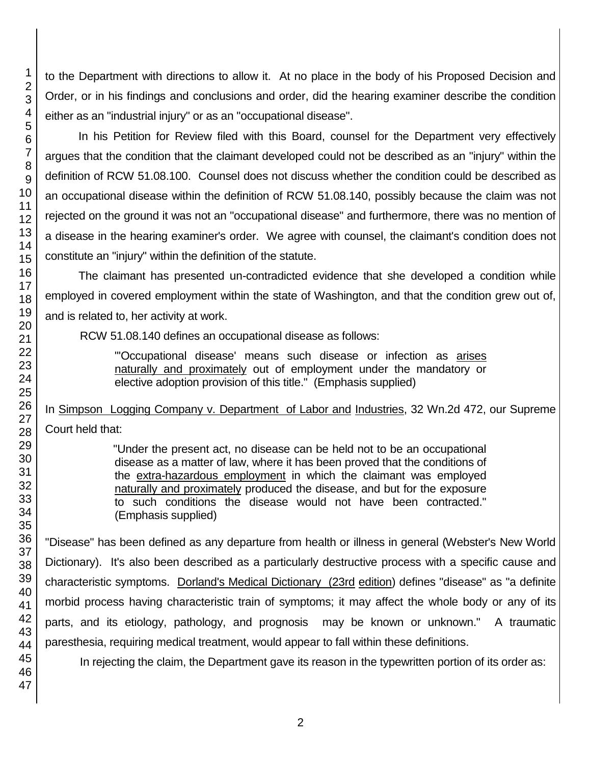to the Department with directions to allow it. At no place in the body of his Proposed Decision and Order, or in his findings and conclusions and order, did the hearing examiner describe the condition either as an "industrial injury" or as an "occupational disease".

In his Petition for Review filed with this Board, counsel for the Department very effectively argues that the condition that the claimant developed could not be described as an "injury" within the definition of RCW 51.08.100. Counsel does not discuss whether the condition could be described as an occupational disease within the definition of RCW 51.08.140, possibly because the claim was not rejected on the ground it was not an "occupational disease" and furthermore, there was no mention of a disease in the hearing examiner's order. We agree with counsel, the claimant's condition does not constitute an "injury" within the definition of the statute.

The claimant has presented un-contradicted evidence that she developed a condition while employed in covered employment within the state of Washington, and that the condition grew out of, and is related to, her activity at work.

RCW 51.08.140 defines an occupational disease as follows:

"'Occupational disease' means such disease or infection as arises naturally and proximately out of employment under the mandatory or elective adoption provision of this title." (Emphasis supplied)

In Simpson Logging Company v. Department of Labor and Industries, 32 Wn.2d 472, our Supreme Court held that:

> "Under the present act, no disease can be held not to be an occupational disease as a matter of law, where it has been proved that the conditions of the extra-hazardous employment in which the claimant was employed naturally and proximately produced the disease, and but for the exposure to such conditions the disease would not have been contracted." (Emphasis supplied)

"Disease" has been defined as any departure from health or illness in general (Webster's New World Dictionary). It's also been described as a particularly destructive process with a specific cause and characteristic symptoms. Dorland's Medical Dictionary (23rd edition) defines "disease" as "a definite morbid process having characteristic train of symptoms; it may affect the whole body or any of its parts, and its etiology, pathology, and prognosis may be known or unknown." A traumatic paresthesia, requiring medical treatment, would appear to fall within these definitions.

In rejecting the claim, the Department gave its reason in the typewritten portion of its order as:

1 2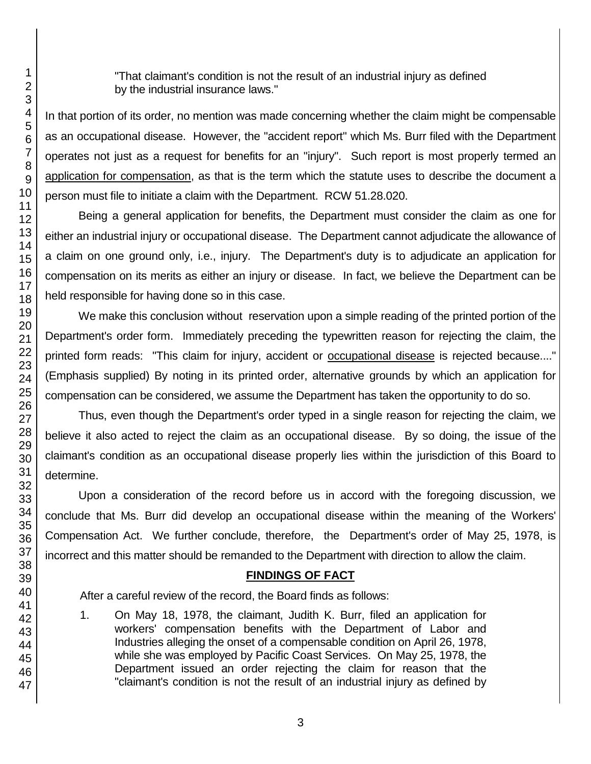"That claimant's condition is not the result of an industrial injury as defined by the industrial insurance laws."

In that portion of its order, no mention was made concerning whether the claim might be compensable as an occupational disease. However, the "accident report" which Ms. Burr filed with the Department operates not just as a request for benefits for an "injury". Such report is most properly termed an application for compensation, as that is the term which the statute uses to describe the document a person must file to initiate a claim with the Department. RCW 51.28.020.

Being a general application for benefits, the Department must consider the claim as one for either an industrial injury or occupational disease. The Department cannot adjudicate the allowance of a claim on one ground only, i.e., injury. The Department's duty is to adjudicate an application for compensation on its merits as either an injury or disease. In fact, we believe the Department can be held responsible for having done so in this case.

We make this conclusion without reservation upon a simple reading of the printed portion of the Department's order form. Immediately preceding the typewritten reason for rejecting the claim, the printed form reads: "This claim for injury, accident or occupational disease is rejected because...." (Emphasis supplied) By noting in its printed order, alternative grounds by which an application for compensation can be considered, we assume the Department has taken the opportunity to do so.

Thus, even though the Department's order typed in a single reason for rejecting the claim, we believe it also acted to reject the claim as an occupational disease. By so doing, the issue of the claimant's condition as an occupational disease properly lies within the jurisdiction of this Board to determine.

Upon a consideration of the record before us in accord with the foregoing discussion, we conclude that Ms. Burr did develop an occupational disease within the meaning of the Workers' Compensation Act. We further conclude, therefore, the Department's order of May 25, 1978, is incorrect and this matter should be remanded to the Department with direction to allow the claim.

# **FINDINGS OF FACT**

After a careful review of the record, the Board finds as follows:

1. On May 18, 1978, the claimant, Judith K. Burr, filed an application for workers' compensation benefits with the Department of Labor and Industries alleging the onset of a compensable condition on April 26, 1978, while she was employed by Pacific Coast Services. On May 25, 1978, the Department issued an order rejecting the claim for reason that the "claimant's condition is not the result of an industrial injury as defined by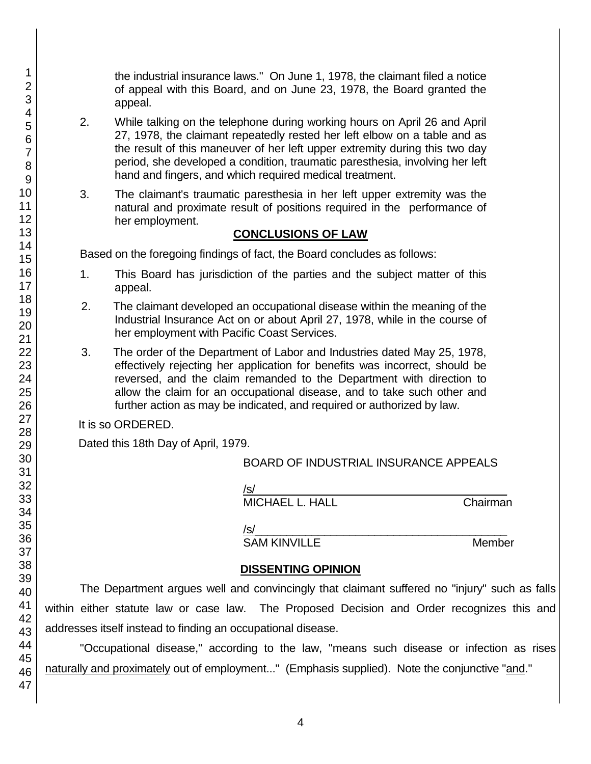the industrial insurance laws." On June 1, 1978, the claimant filed a notice of appeal with this Board, and on June 23, 1978, the Board granted the appeal.

- 2. While talking on the telephone during working hours on April 26 and April 27, 1978, the claimant repeatedly rested her left elbow on a table and as the result of this maneuver of her left upper extremity during this two day period, she developed a condition, traumatic paresthesia, involving her left hand and fingers, and which required medical treatment.
- 3. The claimant's traumatic paresthesia in her left upper extremity was the natural and proximate result of positions required in the performance of her employment.

# **CONCLUSIONS OF LAW**

Based on the foregoing findings of fact, the Board concludes as follows:

- 1. This Board has jurisdiction of the parties and the subject matter of this appeal.
- 2. The claimant developed an occupational disease within the meaning of the Industrial Insurance Act on or about April 27, 1978, while in the course of her employment with Pacific Coast Services.
- 3. The order of the Department of Labor and Industries dated May 25, 1978, effectively rejecting her application for benefits was incorrect, should be reversed, and the claim remanded to the Department with direction to allow the claim for an occupational disease, and to take such other and further action as may be indicated, and required or authorized by law.

It is so ORDERED.

Dated this 18th Day of April, 1979.

# BOARD OF INDUSTRIAL INSURANCE APPEALS

/s/  $\,$ 

MICHAEL L. HALL Chairman

/s/\_\_\_\_\_\_\_\_\_\_\_\_\_\_\_\_\_\_\_\_\_\_\_\_\_\_\_\_\_\_\_\_\_\_\_\_\_\_\_\_

SAM KINVILLE MEMBER Member

# **DISSENTING OPINION**

The Department argues well and convincingly that claimant suffered no "injury" such as falls within either statute law or case law. The Proposed Decision and Order recognizes this and addresses itself instead to finding an occupational disease.

"Occupational disease," according to the law, "means such disease or infection as rises naturally and proximately out of employment..." (Emphasis supplied). Note the conjunctive "and."

1